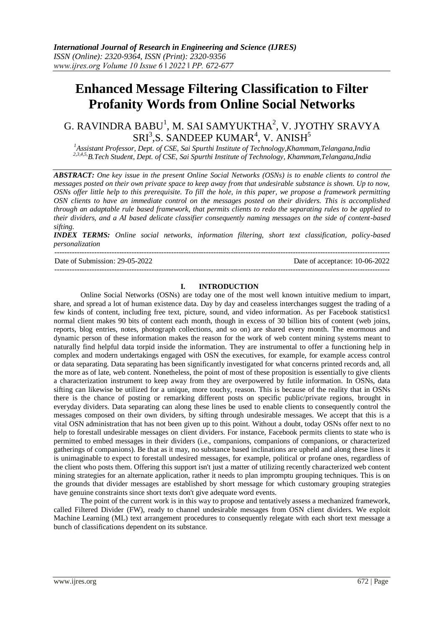# **Enhanced Message Filtering Classification to Filter Profanity Words from Online Social Networks**

## G. RAVINDRA BABU<sup>1</sup>, M. SAI SAMYUKTHA<sup>2</sup>, V. JYOTHY SRAVYA  $SRI<sup>3</sup>, S.$  SANDEEP KUMAR<sup>4</sup>, V. ANISH<sup>5</sup>

*<sup>1</sup>Assistant Professor, Dept. of CSE, Sai Spurthi Institute of Technology,Khammam,Telangana,India 2,3,4,5,B.Tech Student, Dept. of CSE, Sai Spurthi Institute of Technology, Khammam,Telangana,India*

*ABSTRACT: One key issue in the present Online Social Networks (OSNs) is to enable clients to control the messages posted on their own private space to keep away from that undesirable substance is shown. Up to now, OSNs offer little help to this prerequisite. To fill the hole, in this paper, we propose a framework permitting OSN clients to have an immediate control on the messages posted on their dividers. This is accomplished through an adaptable rule based framework, that permits clients to redo the separating rules to be applied to their dividers, and a AI based delicate classifier consequently naming messages on the side of content-based sifting.*

*INDEX TERMS: Online social networks, information filtering, short text classification, policy-based personalization*

--------------------------------------------------------------------------------------------------------------------------------------- Date of Submission: 29-05-2022 Date of acceptance: 10-06-2022

---------------------------------------------------------------------------------------------------------------------------------------

#### **I. INTRODUCTION**

Online Social Networks (OSNs) are today one of the most well known intuitive medium to impart, share, and spread a lot of human existence data. Day by day and ceaseless interchanges suggest the trading of a few kinds of content, including free text, picture, sound, and video information. As per Facebook statistics1 normal client makes 90 bits of content each month, though in excess of 30 billion bits of content (web joins, reports, blog entries, notes, photograph collections, and so on) are shared every month. The enormous and dynamic person of these information makes the reason for the work of web content mining systems meant to naturally find helpful data torpid inside the information. They are instrumental to offer a functioning help in complex and modern undertakings engaged with OSN the executives, for example, for example access control or data separating. Data separating has been significantly investigated for what concerns printed records and, all the more as of late, web content. Nonetheless, the point of most of these proposition is essentially to give clients a characterization instrument to keep away from they are overpowered by futile information. In OSNs, data sifting can likewise be utilized for a unique, more touchy, reason. This is because of the reality that in OSNs there is the chance of posting or remarking different posts on specific public/private regions, brought in everyday dividers. Data separating can along these lines be used to enable clients to consequently control the messages composed on their own dividers, by sifting through undesirable messages. We accept that this is a vital OSN administration that has not been given up to this point. Without a doubt, today OSNs offer next to no help to forestall undesirable messages on client dividers. For instance, Facebook permits clients to state who is permitted to embed messages in their dividers (i.e., companions, companions of companions, or characterized gatherings of companions). Be that as it may, no substance based inclinations are upheld and along these lines it is unimaginable to expect to forestall undesired messages, for example, political or profane ones, regardless of the client who posts them. Offering this support isn't just a matter of utilizing recently characterized web content mining strategies for an alternate application, rather it needs to plan impromptu grouping techniques. This is on the grounds that divider messages are established by short message for which customary grouping strategies have genuine constraints since short texts don't give adequate word events.

The point of the current work is in this way to propose and tentatively assess a mechanized framework, called Filtered Divider (FW), ready to channel undesirable messages from OSN client dividers. We exploit Machine Learning (ML) text arrangement procedures to consequently relegate with each short text message a bunch of classifications dependent on its substance.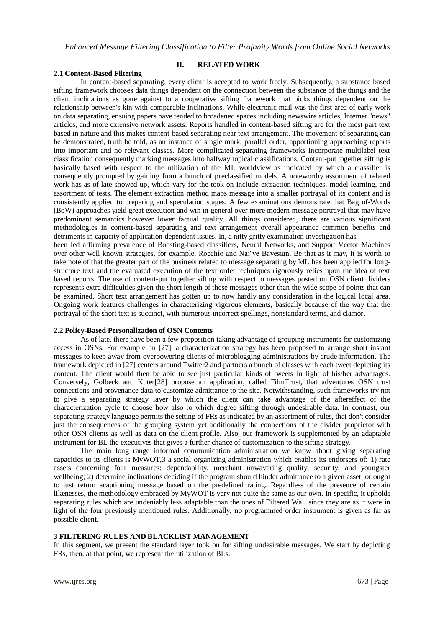#### **2.1 Content-Based Filtering**

**II. RELATED WORK**

In content-based separating, every client is accepted to work freely. Subsequently, a substance based sifting framework chooses data things dependent on the connection between the substance of the things and the client inclinations as gone against to a cooperative sifting framework that picks things dependent on the relationship between's kin with comparable inclinations. While electronic mail was the first area of early work on data separating, ensuing papers have tended to broadened spaces including newswire articles, Internet "news" articles, and more extensive network assets. Reports handled in content-based sifting are for the most part text based in nature and this makes content-based separating near text arrangement. The movement of separating can be demonstrated, truth be told, as an instance of single mark, parallel order, apportioning approaching reports into important and no relevant classes. More complicated separating frameworks incorporate multilabel text classification consequently marking messages into halfway topical classifications. Content-put together sifting is basically based with respect to the utilization of the ML worldview as indicated by which a classifier is consequently prompted by gaining from a bunch of preclassified models. A noteworthy assortment of related work has as of late showed up, which vary for the took on include extraction techniques, model learning, and assortment of tests. The element extraction method maps message into a smaller portrayal of its content and is consistently applied to preparing and speculation stages. A few examinations demonstrate that Bag of-Words (BoW) approaches yield great execution and win in general over more modern message portrayal that may have predominant semantics however lower factual quality. All things considered, there are various significant methodologies in content-based separating and text arrangement overall appearance common benefits and detriments in capacity of application dependent issues. In, a nitty gritty examination investigation has been led affirming prevalence of Boosting-based classifiers, Neural Networks, and Support Vector Machines over other well known strategies, for example, Rocchio and Naı¨ve Bayesian. Be that as it may, it is worth to take note of that the greater part of the business related to message separating by ML has been applied for longstructure text and the evaluated execution of the text order techniques rigorously relies upon the idea of text based reports. The use of content-put together sifting with respect to messages posted on OSN client dividers represents extra difficulties given the short length of these messages other than the wide scope of points that can be examined. Short text arrangement has gotten up to now hardly any consideration in the logical local area. Ongoing work features challenges in characterizing vigorous elements, basically because of the way that the

#### **2.2 Policy-Based Personalization of OSN Contents**

As of late, there have been a few proposition taking advantage of grouping instruments for customizing access in OSNs. For example, in [27], a characterization strategy has been proposed to arrange short instant messages to keep away from overpowering clients of microblogging administrations by crude information. The framework depicted in [27] centers around Twitter2 and partners a bunch of classes with each tweet depicting its content. The client would then be able to see just particular kinds of tweets in light of his/her advantages. Conversely, Golbeck and Kuter[28] propose an application, called FilmTrust, that adventures OSN trust connections and provenance data to customize admittance to the site. Notwithstanding, such frameworks try not to give a separating strategy layer by which the client can take advantage of the aftereffect of the characterization cycle to choose how also to which degree sifting through undesirable data. In contrast, our separating strategy language permits the setting of FRs as indicated by an assortment of rules, that don't consider just the consequences of the grouping system yet additionally the connections of the divider proprietor with other OSN clients as well as data on the client profile. Also, our framework is supplemented by an adaptable instrument for BL the executives that gives a further chance of customization to the sifting strategy.

portrayal of the short text is succinct, with numerous incorrect spellings, nonstandard terms, and clamor.

The main long range informal communication administration we know about giving separating capacities to its clients is MyWOT,3 a social organizing administration which enables its endorsers of: 1) rate assets concerning four measures: dependability, merchant unwavering quality, security, and youngster wellbeing; 2) determine inclinations deciding if the program should hinder admittance to a given asset, or ought to just return acautioning message based on the predefined rating. Regardless of the presence of certain likenesses, the methodology embraced by MyWOT is very not quite the same as our own. In specific, it upholds separating rules which are undeniably less adaptable than the ones of Filtered Wall since they are as it were in light of the four previously mentioned rules. Additionally, no programmed order instrument is given as far as possible client.

#### **3 FILTERING RULES AND BLACKLIST MANAGEMENT**

In this segment, we present the standard layer took on for sifting undesirable messages. We start by depicting FRs, then, at that point, we represent the utilization of BLs.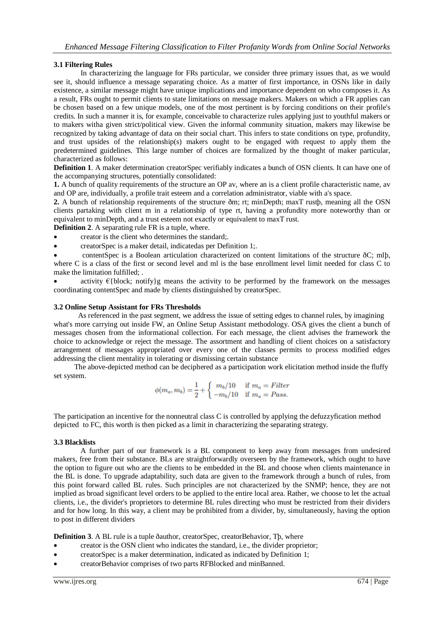#### **3.1 Filtering Rules**

In characterizing the language for FRs particular, we consider three primary issues that, as we would see it, should influence a message separating choice. As a matter of first importance, in OSNs like in daily existence, a similar message might have unique implications and importance dependent on who composes it. As a result, FRs ought to permit clients to state limitations on message makers. Makers on which a FR applies can be chosen based on a few unique models, one of the most pertinent is by forcing conditions on their profile's credits. In such a manner it is, for example, conceivable to characterize rules applying just to youthful makers or to makers witha given strict/political view. Given the informal community situation, makers may likewise be recognized by taking advantage of data on their social chart. This infers to state conditions on type, profundity, and trust upsides of the relationship(s) makers ought to be engaged with request to apply them the predetermined guidelines. This large number of choices are formalized by the thought of maker particular, characterized as follows:

**Definition 1**. A maker determination creatorSpec verifiably indicates a bunch of OSN clients. It can have one of the accompanying structures, potentially consolidated:

**1.** A bunch of quality requirements of the structure an OP av, where an is a client profile characteristic name, av and OP are, individually, a profile trait esteem and a correlation administrator, viable with a's space.

**2.** A bunch of relationship requirements of the structure ðm; rt; minDepth; maxT rustþ, meaning all the OSN clients partaking with client m in a relationship of type rt, having a profundity more noteworthy than or equivalent to minDepth, and a trust esteem not exactly or equivalent to maxT rust.

**Definition 2**. A separating rule FR is a tuple, where.

- creator is the client who determines the standard;.
- creatorSpec is a maker detail, indicatedas per Definition 1;.

 contentSpec is a Boolean articulation characterized on content limitations of the structure ðC; mlþ, where C is a class of the first or second level and ml is the base enrollment level limit needed for class C to make the limitation fulfilled; .

activity  $\epsilon$ {block; notify}g means the activity to be performed by the framework on the messages coordinating contentSpec and made by clients distinguished by creatorSpec.

#### **3.2 Online Setup Assistant for FRs Thresholds**

 As referenced in the past segment, we address the issue of setting edges to channel rules, by imagining what's more carrying out inside FW, an Online Setup Assistant methodology. OSA gives the client a bunch of messages chosen from the informational collection. For each message, the client advises the framework the choice to acknowledge or reject the message. The assortment and handling of client choices on a satisfactory arrangement of messages appropriated over every one of the classes permits to process modified edges addressing the client mentality in tolerating or dismissing certain substance

 The above-depicted method can be deciphered as a participation work elicitation method inside the fluffy set system.

$$
\phi(m_a,m_b)=\frac{1}{2}+\left\{\begin{array}{cc} m_b/10 & \text{ if } m_a=Filter\\ -m_b/10 & \text{ if } m_a=Pass. \end{array}\right.
$$

The participation an incentive for the nonneutral class C is controlled by applying the defuzzyfication method depicted to FC, this worth is then picked as a limit in characterizing the separating strategy.

#### **3.3 Blacklists**

A further part of our framework is a BL component to keep away from messages from undesired makers, free from their substance. BLs are straightforwardly overseen by the framework, which ought to have the option to figure out who are the clients to be embedded in the BL and choose when clients maintenance in the BL is done. To upgrade adaptability, such data are given to the framework through a bunch of rules, from this point forward called BL rules. Such principles are not characterized by the SNMP; hence, they are not implied as broad significant level orders to be applied to the entire local area. Rather, we choose to let the actual clients, i.e., the divider's proprietors to determine BL rules directing who must be restricted from their dividers and for how long. In this way, a client may be prohibited from a divider, by, simultaneously, having the option to post in different dividers

**Definition 3**. A BL rule is a tuple ðauthor, creatorSpec, creatorBehavior, Tþ, where

- creator is the OSN client who indicates the standard, i.e., the divider proprietor;
- creatorSpec is a maker determination, indicated as indicated by Definition 1;
- creatorBehavior comprises of two parts RFBlocked and minBanned.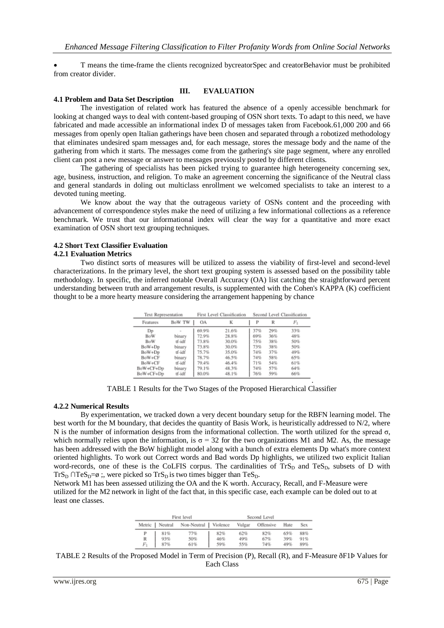T means the time-frame the clients recognized bycreatorSpec and creatorBehavior must be prohibited from creator divider.

#### **III. EVALUATION**

#### **4.1 Problem and Data Set Description**

The investigation of related work has featured the absence of a openly accessible benchmark for looking at changed ways to deal with content-based grouping of OSN short texts. To adapt to this need, we have fabricated and made accessible an informational index D of messages taken from Facebook.61,000 200 and 66 messages from openly open Italian gatherings have been chosen and separated through a robotized methodology that eliminates undesired spam messages and, for each message, stores the message body and the name of the gathering from which it starts. The messages come from the gathering's site page segment, where any enrolled client can post a new message or answer to messages previously posted by different clients.

The gathering of specialists has been picked trying to guarantee high heterogeneity concerning sex, age, business, instruction, and religion. To make an agreement concerning the significance of the Neutral class and general standards in doling out multiclass enrollment we welcomed specialists to take an interest to a devoted tuning meeting.

We know about the way that the outrageous variety of OSNs content and the proceeding with advancement of correspondence styles make the need of utilizing a few informational collections as a reference benchmark. We trust that our informational index will clear the way for a quantitative and more exact examination of OSN short text grouping techniques.

### **4.2 Short Text Classifier Evaluation**

### **4.2.1 Evaluation Metrics**

Two distinct sorts of measures will be utilized to assess the viability of first-level and second-level characterizations. In the primary level, the short text grouping system is assessed based on the possibility table methodology. In specific, the inferred notable Overall Accuracy (OA) list catching the straightforward percent understanding between truth and arrangement results, is supplemented with the Cohen's KAPPA (K) coefficient thought to be a more hearty measure considering the arrangement happening by chance

| <b>Text Representation</b> |        |       | First Level Classification | Second Level Classification |     |       |  |
|----------------------------|--------|-------|----------------------------|-----------------------------|-----|-------|--|
| Features                   | BoW TW | OA    | к                          | P                           | R   | $F_1$ |  |
| Do                         |        | 69.9% | 21.6%                      | 37%                         | 29% | 33%   |  |
| <b>BoW</b>                 | binary | 72.9% | 28.8%                      | 69%                         | 36% | 48%   |  |
| BoW                        | tf-idf | 73.8% | 30.0%                      | 75%                         | 38% | 50%   |  |
| BoW+Dp                     | binary | 73.8% | 30.0%                      | 73%                         | 38% | 50%   |  |
| $BoW+Dp$                   | tf-idf | 75.7% | 35.0%                      | 74%                         | 37% | 49%   |  |
| BoW+CF                     | binary | 78.7% | 46.5%                      | 74%                         | 58% | 65%   |  |
| BoW+CF                     | tf-idf | 79.4% | 46.4%                      | 71%                         | 54% | 61%   |  |
| BoW+CF+Dp                  | binary | 79.1% | 48.3%                      | 74%                         | 57% | 64%   |  |
| BoW+CF+Dp                  | tf-idf | 80.0% | 48.1%                      | 76%                         | 59% | 66%   |  |

TABLE 1 Results for the Two Stages of the Proposed Hierarchical Classifier

.

#### **4.2.2 Numerical Results**

By experimentation, we tracked down a very decent boundary setup for the RBFN learning model. The best worth for the M boundary, that decides the quantity of Basis Work, is heuristically addressed to N/2, where N is the number of information designs from the informational collection. The worth utilized for the spread σ, which normally relies upon the information, is  $\sigma = 32$  for the two organizations M1 and M2. As, the message has been addressed with the BoW highlight model along with a bunch of extra elements Dp what's more context oriented highlights. To work out Correct words and Bad words Dp highlights, we utilized two explicit Italian word-records, one of these is the CoLFIS corpus. The cardinalities of  $TrS_D$  and  $TeS_D$ , subsets of D with TrS<sub>D</sub> ∩TeS<sub>D</sub>= $\emptyset$ ;, were picked so TrS<sub>D</sub> is two times bigger than TeS<sub>D</sub>.

Network M1 has been assessed utilizing the OA and the K worth. Accuracy, Recall, and F-Measure were utilized for the M2 network in light of the fact that, in this specific case, each example can be doled out to at least one classes.

|            |                  | First level            | Second Level |            |            |            |            |  |
|------------|------------------|------------------------|--------------|------------|------------|------------|------------|--|
|            | Metric   Neutral | Non-Neutral   Violence |              | Vulgar     | Offensive  | Hate       | Sex.       |  |
| P          | 81%              | 77%                    | 82%          | 62%        | 82%        | 65%        | 88%        |  |
| R<br>$F_1$ | 93%<br>87%       | 50%<br>61%             | 46%<br>59%   | 49%<br>55% | 67%<br>74% | 39%<br>49% | 91%<br>89% |  |

TABLE 2 Results of the Proposed Model in Term of Precision (P), Recall (R), and F-Measure ðF1Þ Values for Each Class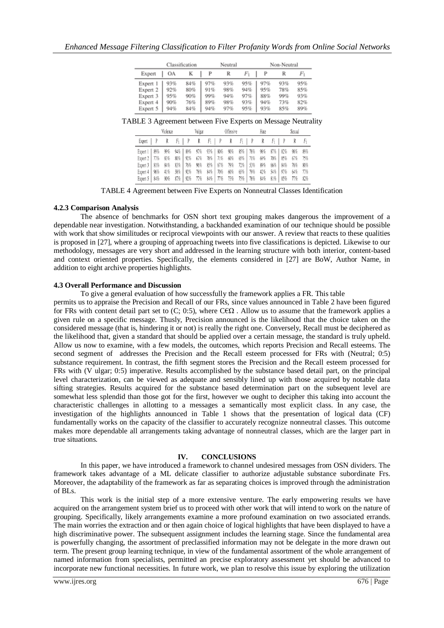|          |     | Classification | Neutral |     |     | Non-Neutral |     |     |  |
|----------|-----|----------------|---------|-----|-----|-------------|-----|-----|--|
| Expert   | OА  | K              | P       | R   | Fı  | P           |     | Fı  |  |
| Expert 1 | 93% | 84%            | 97%     | 93% | 95% | 97%         | 93% | 95% |  |
| Expert 2 | 92% | 80%            | 91%     | 98% | 94% | 95%         | 78% | 85% |  |
| Expert 3 | 95% | 90%            | 99%     | 94% | 97% | 88%         | 99% | 93% |  |
| Expert 4 | 90% | 76%            | 89%     | 98% | 93% | 94%         | 73% | 82% |  |
| Expert 5 | 94% | 84%            | 94%     | 97% | 95% | 93%         | 85% | 89% |  |

TABLE 3 Agreement between Five Experts on Message Neutrality

| Violence                                                                                      |                                 |                                                             | Vulgar                          | Offensive                                 |                                                      |                                                                      | Hate                            | Sexual                                                                    |                                                                    |
|-----------------------------------------------------------------------------------------------|---------------------------------|-------------------------------------------------------------|---------------------------------|-------------------------------------------|------------------------------------------------------|----------------------------------------------------------------------|---------------------------------|---------------------------------------------------------------------------|--------------------------------------------------------------------|
| Expert                                                                                        |                                 |                                                             | R                               | Fı                                        | R                                                    | Fı                                                                   | R                               | $F_1$                                                                     |                                                                    |
| 89%<br>Expert 1  <br>Expert 2   77%<br>Expert 3   81%<br>96%<br>Expert 4<br>84%<br>Expert $5$ | 99%<br>83%<br>84%<br>41%<br>90% | 94% 89%<br>80% 92%<br>76%<br>83%  <br>92%<br>58%<br>87% 92% | 97%<br>67%<br>96%<br>78%<br>77% | 93%   80%<br>78%<br>85% 67%<br>84%<br>84% | 90%<br>60%<br>71%<br>79%<br>70%<br>60%<br>77%<br>73% | 78%<br>85%  <br>71%<br>65%<br>72%<br>53%<br>65%<br>79%<br>78%<br>75% | 98%<br>69%<br>89%<br>42%<br>84% | 82%<br>87%  <br>85%<br>70%<br>66%<br>84%<br>54%  <br>97%<br>$81\%$<br>85% | 98%<br>89%<br>67%<br>75%<br>76%<br>80%<br>77%<br>64%<br>77%<br>82% |

TABLE 4 Agreement between Five Experts on Nonneutral Classes Identification

#### **4.2.3 Comparison Analysis**

The absence of benchmarks for OSN short text grouping makes dangerous the improvement of a dependable near investigation. Notwithstanding, a backhanded examination of our technique should be possible with work that show similitudes or reciprocal viewpoints with our answer. A review that reacts to these qualities is proposed in [27], where a grouping of approaching tweets into five classifications is depicted. Likewise to our methodology, messages are very short and addressed in the learning structure with both interior, content-based and context oriented properties. Specifically, the elements considered in [27] are BoW, Author Name, in addition to eight archive properties highlights.

#### **4.3 Overall Performance and Discussion**

To give a general evaluation of how successfully the framework applies a FR. This table

permits us to appraise the Precision and Recall of our FRs, since values announced in Table 2 have been figured for FRs with content detail part set to (C; 0:5), where C $\epsilon\Omega$ . Allow us to assume that the framework applies a given rule on a specific message. Thusly, Precision announced is the likelihood that the choice taken on the considered message (that is, hindering it or not) is really the right one. Conversely, Recall must be deciphered as the likelihood that, given a standard that should be applied over a certain message, the standard is truly upheld. Allow us now to examine, with a few models, the outcomes, which reports Precision and Recall esteems. The second segment of addresses the Precision and the Recall esteem processed for FRs with (Neutral; 0:5) substance requirement. In contrast, the fifth segment stores the Precision and the Recall esteem processed for FRs with (V ulgar; 0:5) imperative. Results accomplished by the substance based detail part, on the principal level characterization, can be viewed as adequate and sensibly lined up with those acquired by notable data sifting strategies. Results acquired for the substance based determination part on the subsequent level are somewhat less splendid than those got for the first, however we ought to decipher this taking into account the characteristic challenges in allotting to a messages a semantically most explicit class. In any case, the investigation of the highlights announced in Table 1 shows that the presentation of logical data (CF) fundamentally works on the capacity of the classifier to accurately recognize nonneutral classes. This outcome makes more dependable all arrangements taking advantage of nonneutral classes, which are the larger part in true situations.

#### **IV. CONCLUSIONS**

In this paper, we have introduced a framework to channel undesired messages from OSN dividers. The framework takes advantage of a ML delicate classifier to authorize adjustable substance subordinate Frs. Moreover, the adaptability of the framework as far as separating choices is improved through the administration of BLs.

This work is the initial step of a more extensive venture. The early empowering results we have acquired on the arrangement system brief us to proceed with other work that will intend to work on the nature of grouping. Specifically, likely arrangements examine a more profound examination on two associated errands. The main worries the extraction and or then again choice of logical highlights that have been displayed to have a high discriminative power. The subsequent assignment includes the learning stage. Since the fundamental area is powerfully changing, the assortment of preclassified information may not be delegate in the more drawn out term. The present group learning technique, in view of the fundamental assortment of the whole arrangement of named information from specialists, permitted an precise exploratory assessment yet should be advanced to incorporate new functional necessities. In future work, we plan to resolve this issue by exploring the utilization